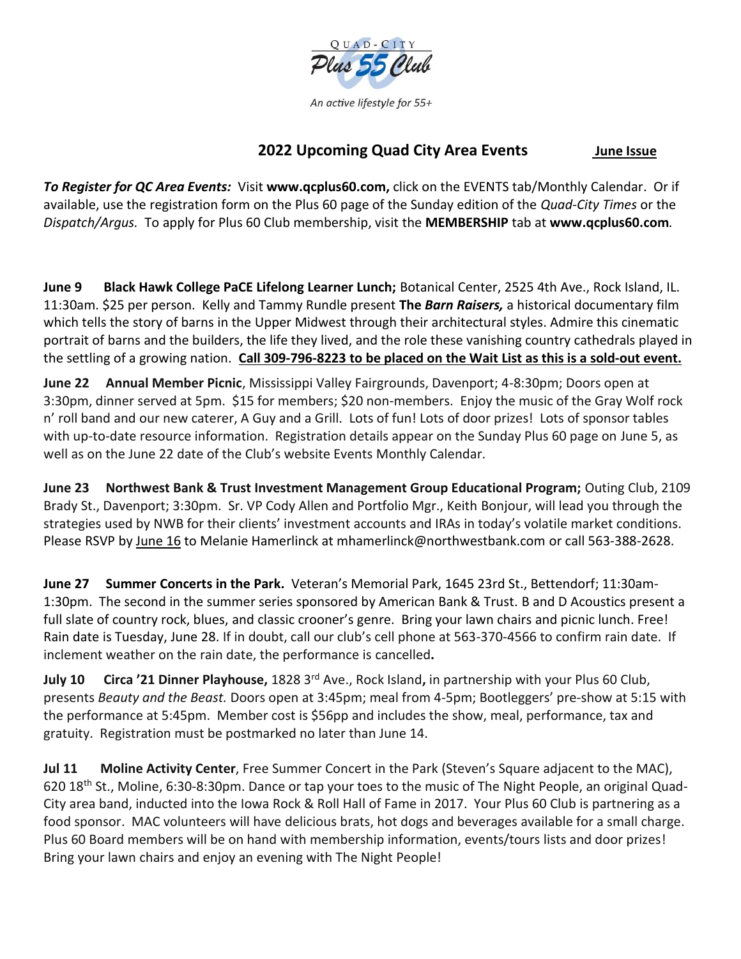

An active lifestyle for 55+

## **2022 Upcoming Quad City Area Events June Issue**

*To Register for QC Area Events:* Visit **www.qcplus60.com,** click on the EVENTS tab/Monthly Calendar. Or if available, use the registration form on the Plus 60 page of the Sunday edition of the *Quad-City Times* or the *Dispatch/Argus.* To apply for Plus 60 Club membership, visit the **MEMBERSHIP** tab at **www.qcplus60.com***.*

**June 9 Black Hawk College PaCE Lifelong Learner Lunch;** Botanical Center, 2525 4th Ave., Rock Island, IL. 11:30am. \$25 per person. Kelly and Tammy Rundle present **The** *Barn Raisers,* a historical documentary film which tells the story of barns in the Upper Midwest through their architectural styles. Admire this cinematic portrait of barns and the builders, the life they lived, and the role these vanishing country cathedrals played in the settling of a growing nation. **Call 309-796-8223 to be placed on the Wait List as this is a sold-out event.** 

**June 22 Annual Member Picnic**, Mississippi Valley Fairgrounds, Davenport; 4-8:30pm; Doors open at 3:30pm, dinner served at 5pm. \$15 for members; \$20 non-members. Enjoy the music of the Gray Wolf rock n' roll band and our new caterer, A Guy and a Grill. Lots of fun! Lots of door prizes! Lots of sponsor tables with up-to-date resource information. Registration details appear on the Sunday Plus 60 page on June 5, as well as on the June 22 date of the Club's website Events Monthly Calendar.

**June 23 Northwest Bank & Trust Investment Management Group Educational Program;** Outing Club, 2109 Brady St., Davenport; 3:30pm. Sr. VP Cody Allen and Portfolio Mgr., Keith Bonjour, will lead you through the strategies used by NWB for their clients' investment accounts and IRAs in today's volatile market conditions. Please RSVP by June 16 to Melanie Hamerlinck at mhamerlinck@northwestbank.com or call 563-388-2628.

**June 27 Summer Concerts in the Park.** Veteran's Memorial Park, 1645 23rd St., Bettendorf; 11:30am-1:30pm. The second in the summer series sponsored by American Bank & Trust. B and D Acoustics present a full slate of country rock, blues, and classic crooner's genre. Bring your lawn chairs and picnic lunch. Free! Rain date is Tuesday, June 28. If in doubt, call our club's cell phone at 563-370-4566 to confirm rain date. If inclement weather on the rain date, the performance is cancelled**.**

**July 10 Circa '21 Dinner Playhouse,** 1828 3rd Ave., Rock Island**,** in partnership with your Plus 60 Club, presents *Beauty and the Beast.* Doors open at 3:45pm; meal from 4-5pm; Bootleggers' pre-show at 5:15 with the performance at 5:45pm. Member cost is \$56pp and includes the show, meal, performance, tax and gratuity. Registration must be postmarked no later than June 14.

**Jul 11 Moline Activity Center**, Free Summer Concert in the Park (Steven's Square adjacent to the MAC), 620 18th St., Moline, 6:30-8:30pm. Dance or tap your toes to the music of The Night People, an original Quad-City area band, inducted into the Iowa Rock & Roll Hall of Fame in 2017. Your Plus 60 Club is partnering as a food sponsor. MAC volunteers will have delicious brats, hot dogs and beverages available for a small charge. Plus 60 Board members will be on hand with membership information, events/tours lists and door prizes! Bring your lawn chairs and enjoy an evening with The Night People!